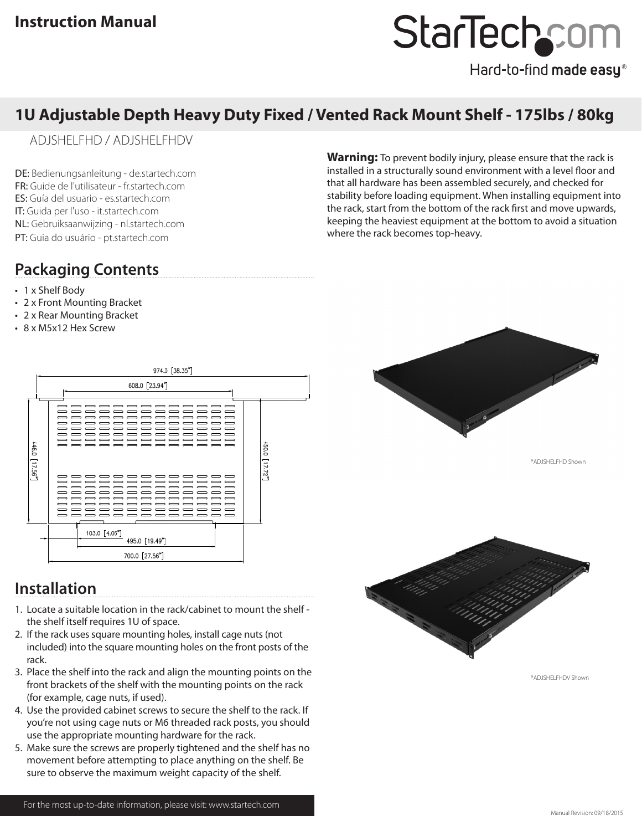## StarTechcor

Hard-to-find made easy®

## **1U Adjustable Depth Heavy Duty Fixed / Vented Rack Mount Shelf - 175lbs / 80kg**

ADJSHELFHD / ADJSHELFHDV

DE: Bedienungsanleitung - de.startech.com FR: Guide de l'utilisateur - fr.startech.com ES: Guía del usuario - es.startech.com IT: Guida per l'uso - it.startech.com NL: Gebruiksaanwijzing - nl.startech.com PT: Guia do usuário - pt.startech.com

**Warning:** To prevent bodily injury, please ensure that the rack is installed in a structurally sound environment with a level floor and that all hardware has been assembled securely, and checked for stability before loading equipment. When installing equipment into the rack, start from the bottom of the rack first and move upwards, keeping the heaviest equipment at the bottom to avoid a situation where the rack becomes top-heavy.

## **Packaging Contents**

- 1 x Shelf Body
- 2 x Front Mounting Bracket
- 2 x Rear Mounting Bracket
- 8 x M5x12 Hex Screw



### **Installation**

- 1. Locate a suitable location in the rack/cabinet to mount the shelf the shelf itself requires 1U of space.
- 2. If the rack uses square mounting holes, install cage nuts (not included) into the square mounting holes on the front posts of the rack.
- 3. Place the shelf into the rack and align the mounting points on the front brackets of the shelf with the mounting points on the rack (for example, cage nuts, if used).
- 4. Use the provided cabinet screws to secure the shelf to the rack. If you're not using cage nuts or M6 threaded rack posts, you should use the appropriate mounting hardware for the rack.
- 5. Make sure the screws are properly tightened and the shelf has no movement before attempting to place anything on the shelf. Be sure to observe the maximum weight capacity of the shelf.